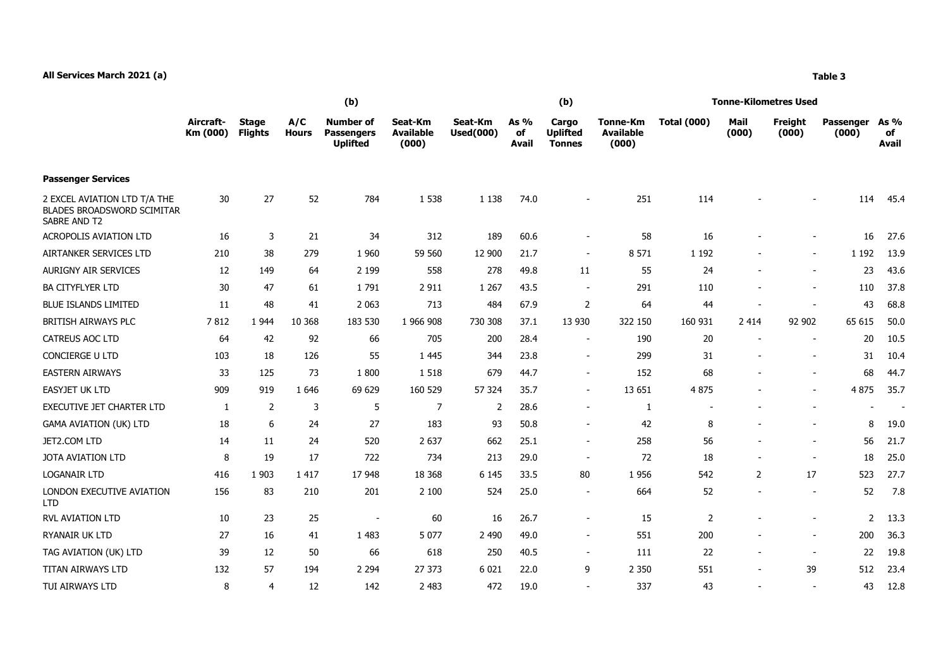## **All Services March 2021 (a) Table 3**

|                                                                                   | (b)                   |                                |                     |                                                          |                                      |                             |                              | (b)                                       |                                              | <b>Tonne-Kilometres Used</b> |                          |                          |                    |                            |  |
|-----------------------------------------------------------------------------------|-----------------------|--------------------------------|---------------------|----------------------------------------------------------|--------------------------------------|-----------------------------|------------------------------|-------------------------------------------|----------------------------------------------|------------------------------|--------------------------|--------------------------|--------------------|----------------------------|--|
|                                                                                   | Aircraft-<br>Km (000) | <b>Stage</b><br><b>Flights</b> | A/C<br><b>Hours</b> | <b>Number of</b><br><b>Passengers</b><br><b>Uplifted</b> | Seat-Km<br><b>Available</b><br>(000) | Seat-Km<br><b>Used(000)</b> | As $%$<br>of<br><b>Avail</b> | Cargo<br><b>Uplifted</b><br><b>Tonnes</b> | <b>Tonne-Km</b><br><b>Available</b><br>(000) | <b>Total (000)</b>           | Mail<br>(000)            | Freight<br>(000)         | Passenger<br>(000) | As %<br>of<br><b>Avail</b> |  |
| <b>Passenger Services</b>                                                         |                       |                                |                     |                                                          |                                      |                             |                              |                                           |                                              |                              |                          |                          |                    |                            |  |
| 2 EXCEL AVIATION LTD T/A THE<br>BLADES BROADSWORD SCIMITAR<br><b>SABRE AND T2</b> | 30                    | 27                             | 52                  | 784                                                      | 1 5 3 8                              | 1 1 3 8                     | 74.0                         | $\overline{\phantom{a}}$                  | 251                                          | 114                          |                          | $\overline{\phantom{a}}$ | 114                | 45.4                       |  |
| ACROPOLIS AVIATION LTD                                                            | 16                    | 3                              | 21                  | 34                                                       | 312                                  | 189                         | 60.6                         | $\overline{\phantom{a}}$                  | 58                                           | 16                           |                          | $\overline{\phantom{a}}$ | 16                 | 27.6                       |  |
| AIRTANKER SERVICES LTD                                                            | 210                   | 38                             | 279                 | 1 9 6 0                                                  | 59 560                               | 12 900                      | 21.7                         | $\sim$                                    | 8 5 7 1                                      | 1 1 9 2                      |                          | $\overline{\phantom{a}}$ | 1 1 9 2            | 13.9                       |  |
| <b>AURIGNY AIR SERVICES</b>                                                       | 12                    | 149                            | 64                  | 2 1 9 9                                                  | 558                                  | 278                         | 49.8                         | 11                                        | 55                                           | 24                           |                          | $\overline{\phantom{a}}$ | 23                 | 43.6                       |  |
| <b>BA CITYFLYER LTD</b>                                                           | 30                    | 47                             | 61                  | 1791                                                     | 2 9 1 1                              | 1 2 6 7                     | 43.5                         | $\overline{\phantom{a}}$                  | 291                                          | 110                          |                          | $\overline{\phantom{a}}$ | 110                | 37.8                       |  |
| <b>BLUE ISLANDS LIMITED</b>                                                       | 11                    | 48                             | 41                  | 2 0 6 3                                                  | 713                                  | 484                         | 67.9                         | $\overline{2}$                            | 64                                           | 44                           |                          | $\overline{\phantom{a}}$ | 43                 | 68.8                       |  |
| <b>BRITISH AIRWAYS PLC</b>                                                        | 7812                  | 1 9 4 4                        | 10 3 68             | 183 530                                                  | 1 966 908                            | 730 308                     | 37.1                         | 13 9 30                                   | 322 150                                      | 160 931                      | 2 4 1 4                  | 92 902                   | 65 615             | 50.0                       |  |
| CATREUS AOC LTD                                                                   | 64                    | 42                             | 92                  | 66                                                       | 705                                  | 200                         | 28.4                         | $\overline{\phantom{a}}$                  | 190                                          | 20                           | $\overline{\phantom{a}}$ | $\overline{\phantom{a}}$ | 20                 | 10.5                       |  |
| <b>CONCIERGE U LTD</b>                                                            | 103                   | 18                             | 126                 | 55                                                       | 1 4 4 5                              | 344                         | 23.8                         | $\blacksquare$                            | 299                                          | 31                           |                          | $\blacksquare$           | 31                 | 10.4                       |  |
| <b>EASTERN AIRWAYS</b>                                                            | 33                    | 125                            | 73                  | 1800                                                     | 1 5 1 8                              | 679                         | 44.7                         | $\sim$                                    | 152                                          | 68                           | $\qquad \qquad -$        | $\overline{\phantom{a}}$ | 68                 | 44.7                       |  |
| <b>EASYJET UK LTD</b>                                                             | 909                   | 919                            | 1646                | 69 629                                                   | 160 529                              | 57 324                      | 35.7                         | $\sim$                                    | 13 651                                       | 4 8 7 5                      |                          | $\overline{\phantom{a}}$ | 4875               | 35.7                       |  |
| <b>EXECUTIVE JET CHARTER LTD</b>                                                  | 1                     | 2                              | 3                   | 5                                                        | 7                                    | 2                           | 28.6                         | $\sim$                                    | 1                                            | $\overline{\phantom{0}}$     |                          | $\overline{\phantom{a}}$ |                    |                            |  |
| <b>GAMA AVIATION (UK) LTD</b>                                                     | 18                    | 6                              | 24                  | 27                                                       | 183                                  | 93                          | 50.8                         | $\overline{\phantom{a}}$                  | 42                                           | 8                            | ۰                        | $\overline{\phantom{a}}$ | 8                  | 19.0                       |  |
| JET2.COM LTD                                                                      | 14                    | 11                             | 24                  | 520                                                      | 2 6 3 7                              | 662                         | 25.1                         | $\overline{\phantom{a}}$                  | 258                                          | 56                           | $\qquad \qquad -$        | $\overline{\phantom{a}}$ | 56                 | 21.7                       |  |
| JOTA AVIATION LTD                                                                 | 8                     | 19                             | 17                  | 722                                                      | 734                                  | 213                         | 29.0                         | $\overline{\phantom{a}}$                  | 72                                           | 18                           |                          | $\overline{\phantom{a}}$ | 18                 | 25.0                       |  |
| <b>LOGANAIR LTD</b>                                                               | 416                   | 1 9 0 3                        | 1 4 1 7             | 17 948                                                   | 18 3 68                              | 6 1 4 5                     | 33.5                         | 80                                        | 1956                                         | 542                          | 2                        | 17                       | 523                | 27.7                       |  |
| LONDON EXECUTIVE AVIATION<br><b>LTD</b>                                           | 156                   | 83                             | 210                 | 201                                                      | 2 100                                | 524                         | 25.0                         |                                           | 664                                          | 52                           |                          | $\overline{\phantom{a}}$ | 52                 | 7.8                        |  |

RVL AVIATION LTD 10 23 25 - 60 16 26.7 15 2 2 13.3 RYANAIR UK LTD 27 16 41 1 483 5 077 2 490 49.0 200 200 36.3 TAG AVIATION (UK) LTD 39 12 50 66 618 250 40.5 - 111 22 - - 22 19.8 TITAN AIRWAYS LTD 132 57 194 2 294 27 373 6 021 22.0 9 2 350 551 - 39 512 23.4 TUI AIRWAYS LTD 8 4 12 142 2 483 472 19.0 - 337 43 - - 43 12.8